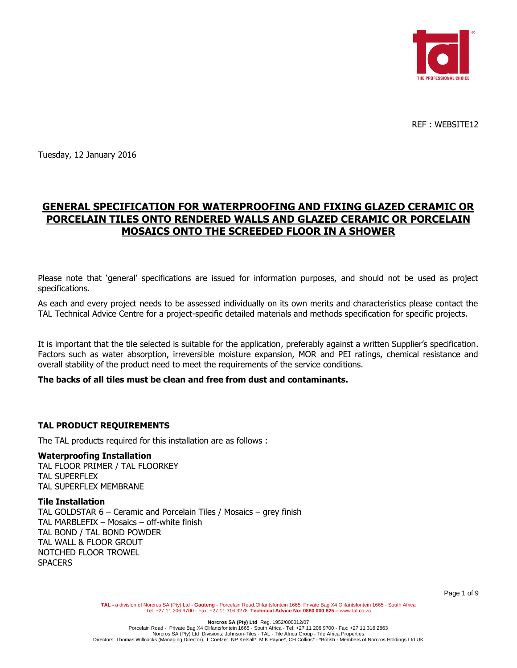

REF : WEBSITE12

Tuesday, 12 January 2016

# **GENERAL SPECIFICATION FOR WATERPROOFING AND FIXING GLAZED CERAMIC OR PORCELAIN TILES ONTO RENDERED WALLS AND GLAZED CERAMIC OR PORCELAIN MOSAICS ONTO THE SCREEDED FLOOR IN A SHOWER**

Please note that 'general' specifications are issued for information purposes, and should not be used as project specifications.

As each and every project needs to be assessed individually on its own merits and characteristics please contact the TAL Technical Advice Centre for a project-specific detailed materials and methods specification for specific projects.

It is important that the tile selected is suitable for the application, preferably against a written Supplier's specification. Factors such as water absorption, irreversible moisture expansion, MOR and PEI ratings, chemical resistance and overall stability of the product need to meet the requirements of the service conditions.

### **The backs of all tiles must be clean and free from dust and contaminants.**

### **TAL PRODUCT REQUIREMENTS**

The TAL products required for this installation are as follows :

#### **Waterproofing Installation**

TAL FLOOR PRIMER / TAL FLOORKEY TAL SUPERFLEX TAL SUPERFLEX MEMBRANE

#### **Tile Installation**

TAL GOLDSTAR 6 – Ceramic and Porcelain Tiles / Mosaics – grey finish TAL MARBLEFIX – Mosaics – off-white finish TAL BOND / TAL BOND POWDER TAL WALL & FLOOR GROUT NOTCHED FLOOR TROWEL **SPACERS** 

TAL - a division of Norcros SA (Pty) Ltd - Gauteng - Porcelain Road,Olifantsfontein 1665, Private Bag X4 Olifantsfontein 1665 - South Africa<br>Tel: +27 11 206 9700 - Fax: +27 11 316 3278 Technical Advice No: 0860 000 825 - w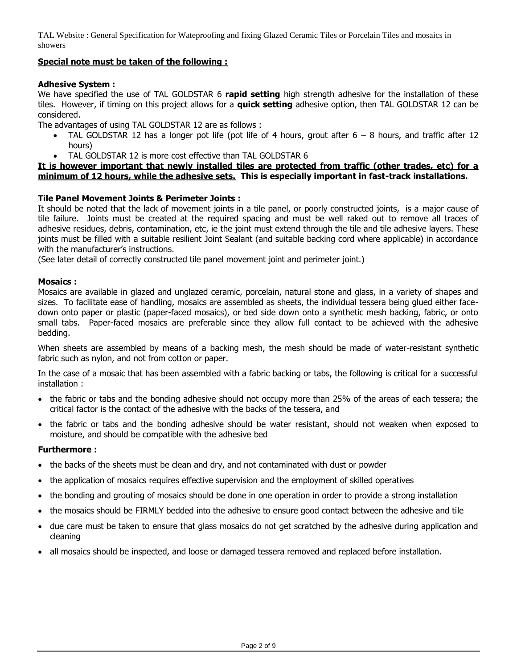# **Special note must be taken of the following :**

### **Adhesive System :**

We have specified the use of TAL GOLDSTAR 6 **rapid setting** high strength adhesive for the installation of these tiles. However, if timing on this project allows for a **quick setting** adhesive option, then TAL GOLDSTAR 12 can be considered.

The advantages of using TAL GOLDSTAR 12 are as follows :

- TAL GOLDSTAR 12 has a longer pot life (pot life of 4 hours, grout after 6 8 hours, and traffic after 12 hours)
- TAL GOLDSTAR 12 is more cost effective than TAL GOLDSTAR 6

### **It is however important that newly installed tiles are protected from traffic (other trades, etc) for a minimum of 12 hours, while the adhesive sets. This is especially important in fast-track installations.**

### **Tile Panel Movement Joints & Perimeter Joints :**

It should be noted that the lack of movement joints in a tile panel, or poorly constructed joints, is a major cause of tile failure. Joints must be created at the required spacing and must be well raked out to remove all traces of adhesive residues, debris, contamination, etc, ie the joint must extend through the tile and tile adhesive layers. These joints must be filled with a suitable resilient Joint Sealant (and suitable backing cord where applicable) in accordance with the manufacturer's instructions.

(See later detail of correctly constructed tile panel movement joint and perimeter joint.)

#### **Mosaics :**

Mosaics are available in glazed and unglazed ceramic, porcelain, natural stone and glass, in a variety of shapes and sizes. To facilitate ease of handling, mosaics are assembled as sheets, the individual tessera being glued either facedown onto paper or plastic (paper-faced mosaics), or bed side down onto a synthetic mesh backing, fabric, or onto small tabs. Paper-faced mosaics are preferable since they allow full contact to be achieved with the adhesive bedding.

When sheets are assembled by means of a backing mesh, the mesh should be made of water-resistant synthetic fabric such as nylon, and not from cotton or paper.

In the case of a mosaic that has been assembled with a fabric backing or tabs, the following is critical for a successful installation :

- the fabric or tabs and the bonding adhesive should not occupy more than 25% of the areas of each tessera; the critical factor is the contact of the adhesive with the backs of the tessera, and
- the fabric or tabs and the bonding adhesive should be water resistant, should not weaken when exposed to moisture, and should be compatible with the adhesive bed

### **Furthermore :**

- the backs of the sheets must be clean and dry, and not contaminated with dust or powder
- the application of mosaics requires effective supervision and the employment of skilled operatives
- the bonding and grouting of mosaics should be done in one operation in order to provide a strong installation
- the mosaics should be FIRMLY bedded into the adhesive to ensure good contact between the adhesive and tile
- due care must be taken to ensure that glass mosaics do not get scratched by the adhesive during application and cleaning
- all mosaics should be inspected, and loose or damaged tessera removed and replaced before installation.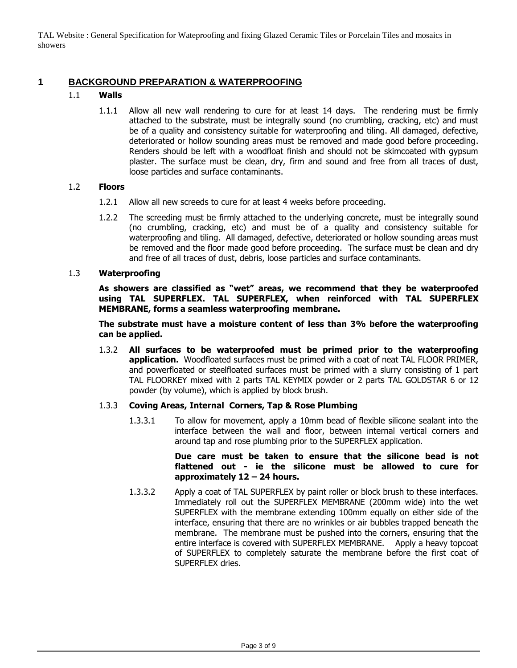# **1 BACKGROUND PREPARATION & WATERPROOFING**

### 1.1 **Walls**

1.1.1 Allow all new wall rendering to cure for at least 14 days. The rendering must be firmly attached to the substrate, must be integrally sound (no crumbling, cracking, etc) and must be of a quality and consistency suitable for waterproofing and tiling. All damaged, defective, deteriorated or hollow sounding areas must be removed and made good before proceeding. Renders should be left with a woodfloat finish and should not be skimcoated with gypsum plaster. The surface must be clean, dry, firm and sound and free from all traces of dust, loose particles and surface contaminants.

### 1.2 **Floors**

- 1.2.1 Allow all new screeds to cure for at least 4 weeks before proceeding.
- 1.2.2 The screeding must be firmly attached to the underlying concrete, must be integrally sound (no crumbling, cracking, etc) and must be of a quality and consistency suitable for waterproofing and tiling. All damaged, defective, deteriorated or hollow sounding areas must be removed and the floor made good before proceeding. The surface must be clean and dry and free of all traces of dust, debris, loose particles and surface contaminants.

#### 1.3 **Waterproofing**

**As showers are classified as "wet" areas, we recommend that they be waterproofed using TAL SUPERFLEX. TAL SUPERFLEX, when reinforced with TAL SUPERFLEX MEMBRANE, forms a seamless waterproofing membrane.**

**The substrate must have a moisture content of less than 3% before the waterproofing can be applied.**

1.3.2 **All surfaces to be waterproofed must be primed prior to the waterproofing application.** Woodfloated surfaces must be primed with a coat of neat TAL FLOOR PRIMER, and powerfloated or steelfloated surfaces must be primed with a slurry consisting of 1 part TAL FLOORKEY mixed with 2 parts TAL KEYMIX powder or 2 parts TAL GOLDSTAR 6 or 12 powder (by volume), which is applied by block brush.

### 1.3.3 **Coving Areas, Internal Corners, Tap & Rose Plumbing**

1.3.3.1 To allow for movement, apply a 10mm bead of flexible silicone sealant into the interface between the wall and floor, between internal vertical corners and around tap and rose plumbing prior to the SUPERFLEX application.

#### **Due care must be taken to ensure that the silicone bead is not flattened out - ie the silicone must be allowed to cure for approximately 12 – 24 hours.**

1.3.3.2 Apply a coat of TAL SUPERFLEX by paint roller or block brush to these interfaces. Immediately roll out the SUPERFLEX MEMBRANE (200mm wide) into the wet SUPERFLEX with the membrane extending 100mm equally on either side of the interface, ensuring that there are no wrinkles or air bubbles trapped beneath the membrane. The membrane must be pushed into the corners, ensuring that the entire interface is covered with SUPERFLEX MEMBRANE. Apply a heavy topcoat of SUPERFLEX to completely saturate the membrane before the first coat of SUPERFLEX dries.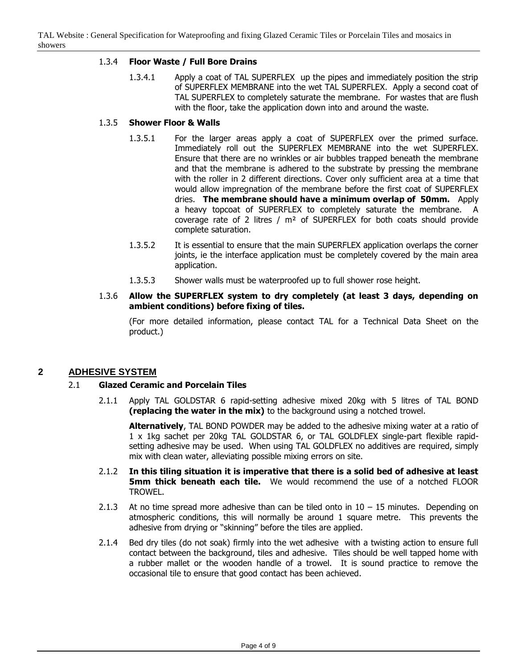### 1.3.4 **Floor Waste / Full Bore Drains**

1.3.4.1 Apply a coat of TAL SUPERFLEX up the pipes and immediately position the strip of SUPERFLEX MEMBRANE into the wet TAL SUPERFLEX. Apply a second coat of TAL SUPERFLEX to completely saturate the membrane. For wastes that are flush with the floor, take the application down into and around the waste.

### 1.3.5 **Shower Floor & Walls**

- 1.3.5.1 For the larger areas apply a coat of SUPERFLEX over the primed surface. Immediately roll out the SUPERFLEX MEMBRANE into the wet SUPERFLEX. Ensure that there are no wrinkles or air bubbles trapped beneath the membrane and that the membrane is adhered to the substrate by pressing the membrane with the roller in 2 different directions. Cover only sufficient area at a time that would allow impregnation of the membrane before the first coat of SUPERFLEX dries. **The membrane should have a minimum overlap of 50mm.** Apply a heavy topcoat of SUPERFLEX to completely saturate the membrane. A coverage rate of 2 litres / m² of SUPERFLEX for both coats should provide complete saturation.
- 1.3.5.2 It is essential to ensure that the main SUPERFLEX application overlaps the corner joints, ie the interface application must be completely covered by the main area application.
- 1.3.5.3 Shower walls must be waterproofed up to full shower rose height.
- 1.3.6 **Allow the SUPERFLEX system to dry completely (at least 3 days, depending on ambient conditions) before fixing of tiles.**

(For more detailed information, please contact TAL for a Technical Data Sheet on the product.)

# **2 ADHESIVE SYSTEM**

### 2.1 **Glazed Ceramic and Porcelain Tiles**

2.1.1 Apply TAL GOLDSTAR 6 rapid-setting adhesive mixed 20kg with 5 litres of TAL BOND **(replacing the water in the mix)** to the background using a notched trowel.

**Alternatively**, TAL BOND POWDER may be added to the adhesive mixing water at a ratio of 1 x 1kg sachet per 20kg TAL GOLDSTAR 6, or TAL GOLDFLEX single-part flexible rapidsetting adhesive may be used. When using TAL GOLDFLEX no additives are required, simply mix with clean water, alleviating possible mixing errors on site.

- 2.1.2 **In this tiling situation it is imperative that there is a solid bed of adhesive at least 5mm thick beneath each tile.** We would recommend the use of a notched FLOOR TROWEL.
- 2.1.3 At no time spread more adhesive than can be tiled onto in  $10 15$  minutes. Depending on atmospheric conditions, this will normally be around 1 square metre. This prevents the adhesive from drying or "skinning" before the tiles are applied.
- 2.1.4 Bed dry tiles (do not soak) firmly into the wet adhesive with a twisting action to ensure full contact between the background, tiles and adhesive. Tiles should be well tapped home with a rubber mallet or the wooden handle of a trowel. It is sound practice to remove the occasional tile to ensure that good contact has been achieved.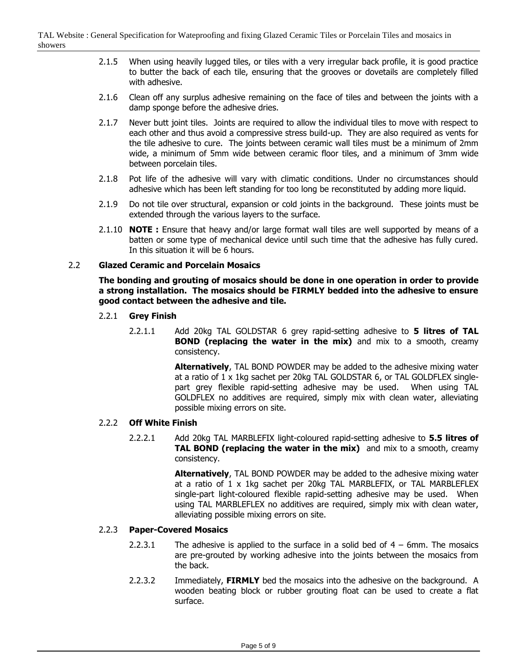- 2.1.5 When using heavily lugged tiles, or tiles with a very irregular back profile, it is good practice to butter the back of each tile, ensuring that the grooves or dovetails are completely filled with adhesive.
- 2.1.6 Clean off any surplus adhesive remaining on the face of tiles and between the joints with a damp sponge before the adhesive dries.
- 2.1.7 Never butt joint tiles. Joints are required to allow the individual tiles to move with respect to each other and thus avoid a compressive stress build-up. They are also required as vents for the tile adhesive to cure. The joints between ceramic wall tiles must be a minimum of 2mm wide, a minimum of 5mm wide between ceramic floor tiles, and a minimum of 3mm wide between porcelain tiles.
- 2.1.8 Pot life of the adhesive will vary with climatic conditions. Under no circumstances should adhesive which has been left standing for too long be reconstituted by adding more liquid.
- 2.1.9 Do not tile over structural, expansion or cold joints in the background. These joints must be extended through the various layers to the surface.
- 2.1.10 **NOTE :** Ensure that heavy and/or large format wall tiles are well supported by means of a batten or some type of mechanical device until such time that the adhesive has fully cured. In this situation it will be 6 hours.

#### 2.2 **Glazed Ceramic and Porcelain Mosaics**

**The bonding and grouting of mosaics should be done in one operation in order to provide a strong installation. The mosaics should be FIRMLY bedded into the adhesive to ensure good contact between the adhesive and tile.**

- 2.2.1 **Grey Finish**
	- 2.2.1.1 Add 20kg TAL GOLDSTAR 6 grey rapid-setting adhesive to **5 litres of TAL BOND (replacing the water in the mix)** and mix to a smooth, creamy consistency.

**Alternatively**, TAL BOND POWDER may be added to the adhesive mixing water at a ratio of 1 x 1kg sachet per 20kg TAL GOLDSTAR 6, or TAL GOLDFLEX singlepart grey flexible rapid-setting adhesive may be used. When using TAL GOLDFLEX no additives are required, simply mix with clean water, alleviating possible mixing errors on site.

### 2.2.2 **Off White Finish**

2.2.2.1 Add 20kg TAL MARBLEFIX light-coloured rapid-setting adhesive to **5.5 litres of TAL BOND (replacing the water in the mix)** and mix to a smooth, creamy consistency.

> **Alternatively**, TAL BOND POWDER may be added to the adhesive mixing water at a ratio of 1 x 1kg sachet per 20kg TAL MARBLEFIX, or TAL MARBLEFLEX single-part light-coloured flexible rapid-setting adhesive may be used. When using TAL MARBLEFLEX no additives are required, simply mix with clean water, alleviating possible mixing errors on site.

### 2.2.3 **Paper-Covered Mosaics**

- 2.2.3.1 The adhesive is applied to the surface in a solid bed of  $4 6$ mm. The mosaics are pre-grouted by working adhesive into the joints between the mosaics from the back.
- 2.2.3.2 Immediately, **FIRMLY** bed the mosaics into the adhesive on the background. A wooden beating block or rubber grouting float can be used to create a flat surface.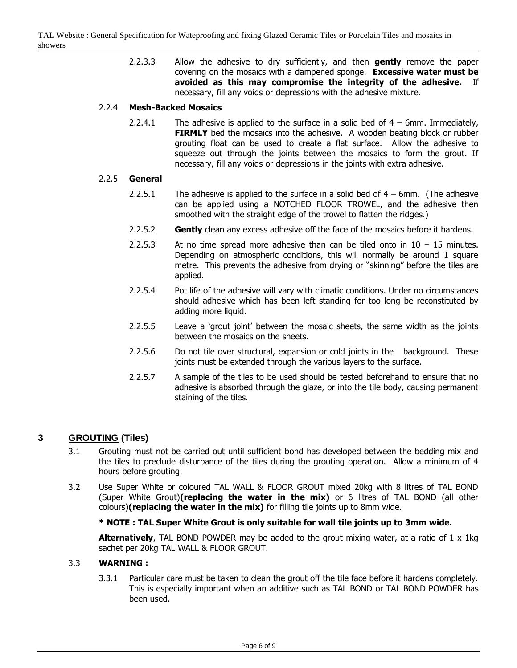2.2.3.3 Allow the adhesive to dry sufficiently, and then **gently** remove the paper covering on the mosaics with a dampened sponge. **Excessive water must be avoided as this may compromise the integrity of the adhesive.** If necessary, fill any voids or depressions with the adhesive mixture.

### 2.2.4 **Mesh-Backed Mosaics**

2.2.4.1 The adhesive is applied to the surface in a solid bed of  $4 - 6$ mm. Immediately, **FIRMLY** bed the mosaics into the adhesive. A wooden beating block or rubber grouting float can be used to create a flat surface. Allow the adhesive to squeeze out through the joints between the mosaics to form the grout. If necessary, fill any voids or depressions in the joints with extra adhesive.

### 2.2.5 **General**

- 2.2.5.1 The adhesive is applied to the surface in a solid bed of  $4 6$ mm. (The adhesive can be applied using a NOTCHED FLOOR TROWEL, and the adhesive then smoothed with the straight edge of the trowel to flatten the ridges.)
- 2.2.5.2 **Gently** clean any excess adhesive off the face of the mosaics before it hardens.
- 2.2.5.3 At no time spread more adhesive than can be tiled onto in  $10 15$  minutes. Depending on atmospheric conditions, this will normally be around 1 square metre. This prevents the adhesive from drying or "skinning" before the tiles are applied.
- 2.2.5.4 Pot life of the adhesive will vary with climatic conditions. Under no circumstances should adhesive which has been left standing for too long be reconstituted by adding more liquid.
- 2.2.5.5 Leave a 'grout joint' between the mosaic sheets, the same width as the joints between the mosaics on the sheets.
- 2.2.5.6 Do not tile over structural, expansion or cold joints in the background. These joints must be extended through the various layers to the surface.
- 2.2.5.7 A sample of the tiles to be used should be tested beforehand to ensure that no adhesive is absorbed through the glaze, or into the tile body, causing permanent staining of the tiles.

# **3 GROUTING (Tiles)**

- 3.1 Grouting must not be carried out until sufficient bond has developed between the bedding mix and the tiles to preclude disturbance of the tiles during the grouting operation. Allow a minimum of 4 hours before grouting.
- 3.2 Use Super White or coloured TAL WALL & FLOOR GROUT mixed 20kg with 8 litres of TAL BOND (Super White Grout)**(replacing the water in the mix)** or 6 litres of TAL BOND (all other colours)**(replacing the water in the mix)** for filling tile joints up to 8mm wide.

### **\* NOTE : TAL Super White Grout is only suitable for wall tile joints up to 3mm wide.**

**Alternatively**, TAL BOND POWDER may be added to the grout mixing water, at a ratio of 1 x 1kg sachet per 20kg TAL WALL & FLOOR GROUT.

### 3.3 **WARNING :**

3.3.1 Particular care must be taken to clean the grout off the tile face before it hardens completely. This is especially important when an additive such as TAL BOND or TAL BOND POWDER has been used.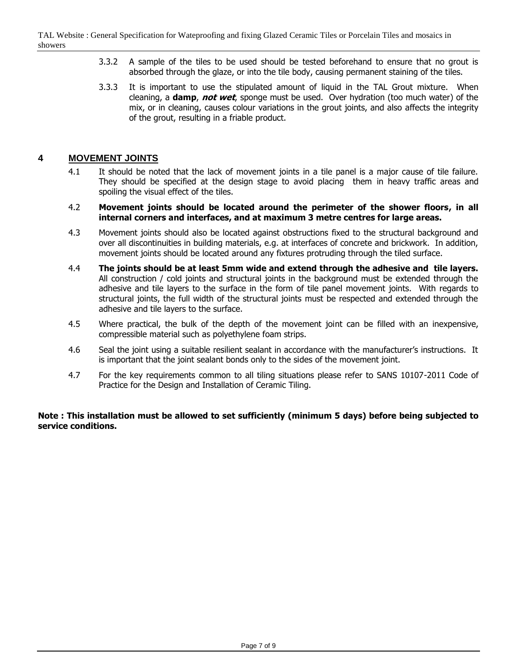- 3.3.2 A sample of the tiles to be used should be tested beforehand to ensure that no grout is absorbed through the glaze, or into the tile body, causing permanent staining of the tiles.
- 3.3.3 It is important to use the stipulated amount of liquid in the TAL Grout mixture. When cleaning, a **damp**, **not wet**, sponge must be used. Over hydration (too much water) of the mix, or in cleaning, causes colour variations in the grout joints, and also affects the integrity of the grout, resulting in a friable product.

# **4 MOVEMENT JOINTS**

- 4.1 It should be noted that the lack of movement joints in a tile panel is a major cause of tile failure. They should be specified at the design stage to avoid placing them in heavy traffic areas and spoiling the visual effect of the tiles.
- 4.2 **Movement joints should be located around the perimeter of the shower floors, in all internal corners and interfaces, and at maximum 3 metre centres for large areas.**
- 4.3 Movement joints should also be located against obstructions fixed to the structural background and over all discontinuities in building materials, e.g. at interfaces of concrete and brickwork. In addition, movement joints should be located around any fixtures protruding through the tiled surface.
- 4.4 **The joints should be at least 5mm wide and extend through the adhesive and tile layers.** All construction / cold joints and structural joints in the background must be extended through the adhesive and tile layers to the surface in the form of tile panel movement joints. With regards to structural joints, the full width of the structural joints must be respected and extended through the adhesive and tile layers to the surface.
- 4.5 Where practical, the bulk of the depth of the movement joint can be filled with an inexpensive, compressible material such as polyethylene foam strips.
- 4.6 Seal the joint using a suitable resilient sealant in accordance with the manufacturer's instructions. It is important that the joint sealant bonds only to the sides of the movement joint.
- 4.7 For the key requirements common to all tiling situations please refer to SANS 10107-2011 Code of Practice for the Design and Installation of Ceramic Tiling.

### **Note : This installation must be allowed to set sufficiently (minimum 5 days) before being subjected to service conditions.**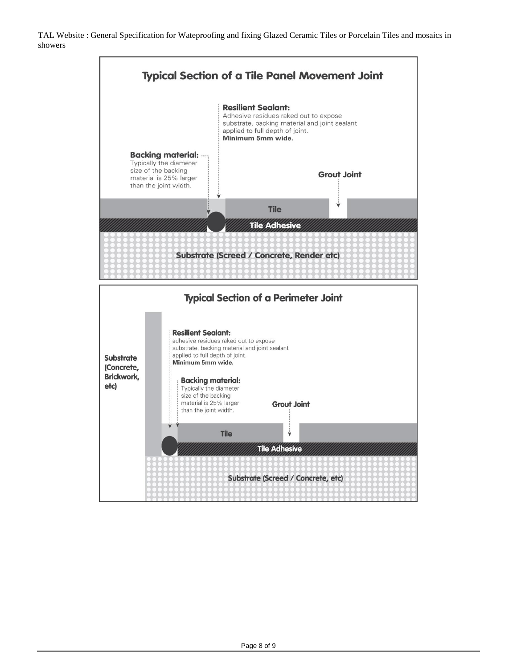